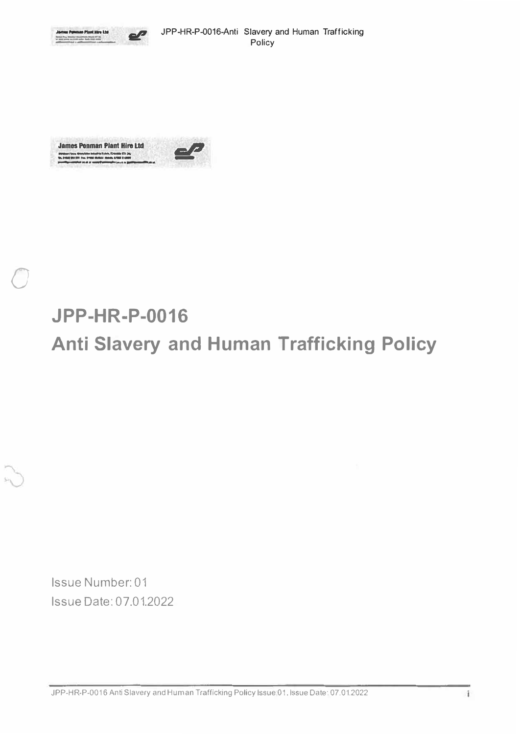



## **JPP-HR-P-0016** Anti Slavery and Human Trafficking Policy

Issue Number: 01 Issue Date: 07.01.2022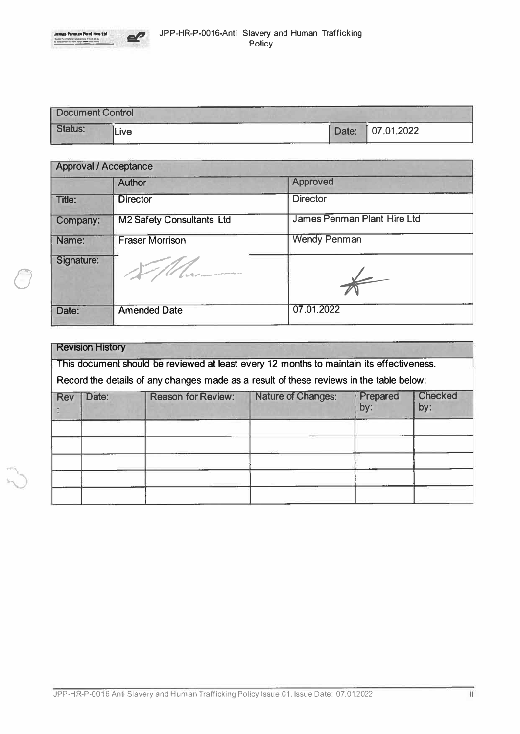

*0* 



| Document Control<br> |      |  |                  |  |  |  |  |
|----------------------|------|--|------------------|--|--|--|--|
| Status:              | Live |  | Date: 07.01.2022 |  |  |  |  |

| <b>Approval / Acceptance</b> |                                             |                             |  |  |  |
|------------------------------|---------------------------------------------|-----------------------------|--|--|--|
|                              | <b>Author</b>                               | <b>Approved</b>             |  |  |  |
| Title:                       | <b>Director</b>                             | <b>Director</b>             |  |  |  |
| Company:                     | <b>M2 Safety Consultants Ltd</b>            | James Penman Plant Hire Ltd |  |  |  |
| Name:                        | <b>Fraser Morrison</b>                      | <b>Wendy Penman</b>         |  |  |  |
| Signature:                   | <b>County of Commercial Association and</b> |                             |  |  |  |
| Date:                        | <b>Amended Date</b>                         | 07.01.2022                  |  |  |  |

| <b>Revision History</b>                                                                  |       |                           |                    |                 |                       |  |  |  |
|------------------------------------------------------------------------------------------|-------|---------------------------|--------------------|-----------------|-----------------------|--|--|--|
| This document should be reviewed at least every 12 months to maintain its effectiveness. |       |                           |                    |                 |                       |  |  |  |
| Record the details of any changes made as a result of these reviews in the table below:  |       |                           |                    |                 |                       |  |  |  |
| <b>Rev</b>                                                                               | Date: | <b>Reason for Review:</b> | Nature of Changes: | Prepared<br>by: | <b>Checked</b><br>by: |  |  |  |
|                                                                                          |       |                           |                    |                 |                       |  |  |  |
|                                                                                          |       |                           |                    |                 |                       |  |  |  |
|                                                                                          |       |                           |                    |                 |                       |  |  |  |
|                                                                                          |       |                           |                    |                 |                       |  |  |  |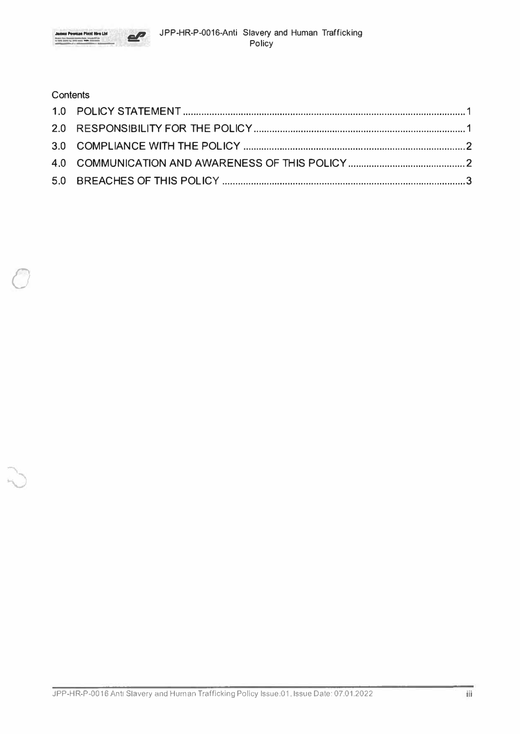



## Contents  $2.0$ 4.0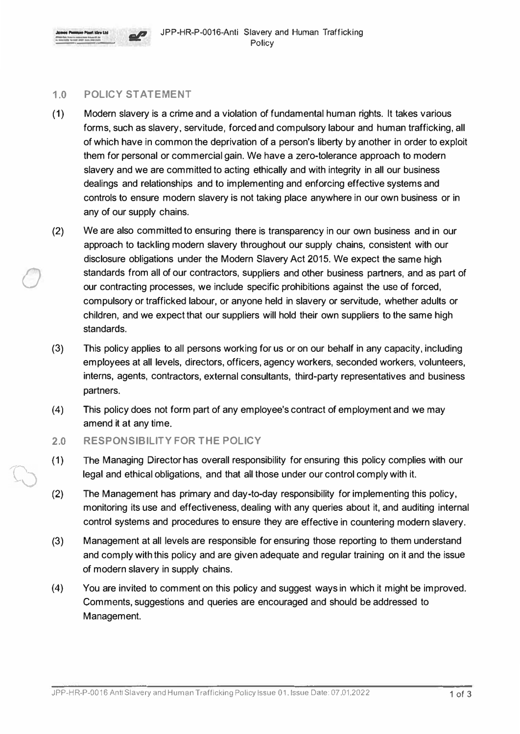

*0* 



## **1.0 POLICY STATEMENT**

- **(1)** Modern slavery is a crime and a violation of fundamental human rights. It takes various forms, such as slavery, servitude, forced and compulsory labour and human trafficking, all of which have in common the deprivation of a person's liberty by another in order to exploit them for personal or commercial gain. We have a zero-tolerance approach to modern slavery and we are committed to acting ethically and with integrity in all our business dealings and relationships and to implementing and enforcing effective systems and controls to ensure modern slavery is not taking place anywhere in our own business or in any of our supply chains.
- (2) We are also committed to ensuring there is transparency in our own business and in our approach to tackling modern slavery throughout our supply chains, consistent with our disclosure obligations under the Modern Slavery Act 2015. We expect the same high standards from all of our contractors, suppliers and other business partners, and as part of our contracting processes, we include specific prohibitions against the use of forced, compulsory or trafficked labour, or anyone held in slavery or servitude, whether adults or children, and we expect that our suppliers will hold their own suppliers to the same high standards.
- (3) This policy applies to all persons working for us or on our behalf in any capacity, including employees at all levels, directors, officers, agency **workers,** seconded workers, volunteers, interns, agents, contractors, external consultants, third-party representatives and business partners.
- (4) This policy does not form part of any employee's contract of employment and we may amend it at any time.
- **2.0 RESPONSIBILITY FOR THE POLICY**
- (1) The Managing Director has overall responsibility for ensuring this policy complies with our legal and ethical obligations, and that all those under our control comply with it.
- (2) The Management has primary and day.to-day responsibility for implementing this policy, monitoring its use and effectiveness, dealing with any queries about it, and auditing internal control systems and procedures to ensure they are effective in countering modern slavery.
- (3) Management at all levels are responsible for ensuring those reporting to them understand and comply with this policy and are given adequate and regular training on it and the issue of modern slavery in supply chains.
- (4) You are invited to comment on this policy and suggest ways in which it might be improved. Comments, suggestions and queries are encouraged and should be addressed to Management.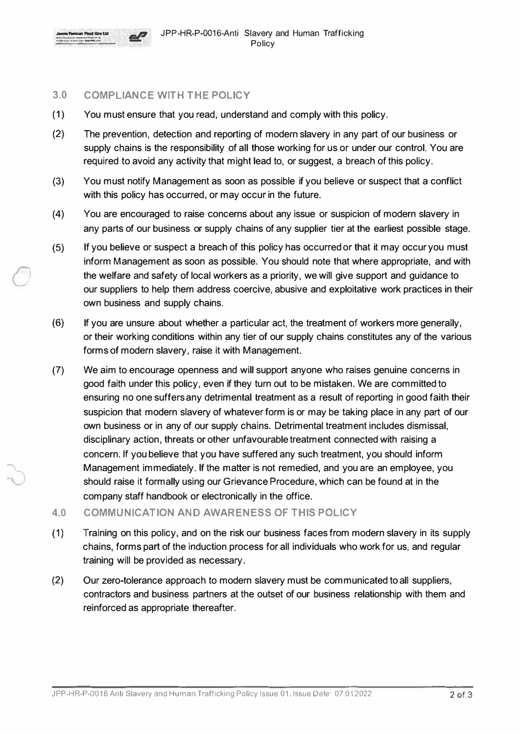

*0* 

## **3.0 COMPLIANCE WITH THE POLICY**

- (1) You must ensure that you read, understand and comply with this policy.
- (2) The prevention, detection and reporting of modern slavery in any part of our business or supply chains is the responsibility of all those working for us or under our control. You are required to avoid any activity that might lead to, or suggest, a breach of this policy.
- (3) You must notify Management as soon as possible if you believe or suspect that a conflict with this policy has occurred, or may occur in the future.
- (4) You are encouraged to raise concerns about any issue or suspicion of modern slavery in any parts of our business or supply chains of any supplier tier at the earliest possible stage.
- (5) If you believe or suspect a breach of this policy has occurred or that it may occur you must inform Management as soon as possible. You should note that where appropriate, and with the welfare and safety of local workers as a priority, we will give support and guidance to our suppliers to help them address coercive, abusive and exploitative work practices in their own business and supply chains.
- (6) If you are unsure about whether a particular act, the treatment of workers more generally, or their working conditions within any tier of our supply chains constitutes any of the various forms of modern slavery, raise it with Management.
- (7) We aim to encourage openness and will support anyone who raises genuine concerns in good faith under this policy, even if they turn out to be mistaken. We are committed to ensuring no one suffers any detrimental treatment as a result of reporting in good faith their suspicion that modern slavery of whatever form is or may be taking place in any part of our own business or in any of our supply chains. Detrimental treatment includes dismissal, disciplinary action, threats or other unfavourable treatment connected with raising a concern. If you believe that you have suffered any such treatment, you should inform Management immediately. If the matter is not remedied, and you are an employee, you should raise it formally using our Grievance Procedure, which can be found at in the company staff handbook or electronically in the office.
- **4.0 COMMUNICATION AND AWARENESS OF THIS POLICY**
- (1) Training on this policy, and on the risk our business faces from modern slavery in its supply chains, forms part of the induction process for all individuals who work for us, and regular training will be provided as necessary.
- (2) Our zero-tolerance approach to modern slavery must be communicated to all suppliers, contractors and business partners at the outset of our business relationship with them and reinforced as appropriate thereafter.